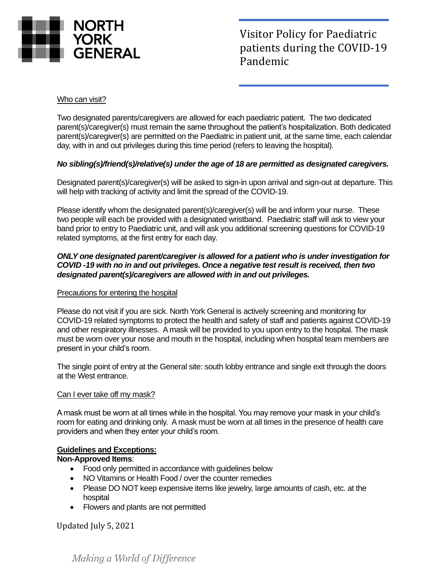

Visitor Policy for Paediatric patients during the COVID-19 Pandemic

#### Who can visit?

Two designated parents/caregivers are allowed for each paediatric patient. The two dedicated parent(s)/caregiver(s) must remain the same throughout the patient's hospitalization. Both dedicated parent(s)/caregiver(s) are permitted on the Paediatric in patient unit, at the same time, each calendar day, with in and out privileges during this time period (refers to leaving the hospital).

### *No sibling(s)/friend(s)/relative(s) under the age of 18 are permitted as designated caregivers.*

Designated parent(s)/caregiver(s) will be asked to sign-in upon arrival and sign-out at departure. This will help with tracking of activity and limit the spread of the COVID-19.

Please identify whom the designated parent(s)/caregiver(s) will be and inform your nurse. These two people will each be provided with a designated wristband. Paediatric staff will ask to view your band prior to entry to Paediatric unit, and will ask you additional screening questions for COVID-19 related symptoms, at the first entry for each day.

#### *ONLY one designated parent/caregiver is allowed for a patient who is under investigation for COVID -19 with no in and out privileges. Once a negative test result is received, then two designated parent(s)/caregivers are allowed with in and out privileges.*

#### Precautions for entering the hospital

Please do not visit if you are sick. North York General is actively screening and monitoring for COVID-19 related symptoms to protect the health and safety of staff and patients against COVID-19 and other respiratory illnesses. A mask will be provided to you upon entry to the hospital. The mask must be worn over your nose and mouth in the hospital, including when hospital team members are present in your child's room.

The single point of entry at the General site: south lobby entrance and single exit through the doors at the West entrance.

#### Can I ever take off my mask?

A mask must be worn at all times while in the hospital. You may remove your mask in your child's room for eating and drinking only. A mask must be worn at all times in the presence of health care providers and when they enter your child's room.

#### **Guidelines and Exceptions:**

#### **Non-Approved Items**:

- Food only permitted in accordance with guidelines below
- NO Vitamins or Health Food / over the counter remedies
- Please DO NOT keep expensive items like jewelry, large amounts of cash, etc. at the hospital
- Flowers and plants are not permitted

Updated July 5, 2021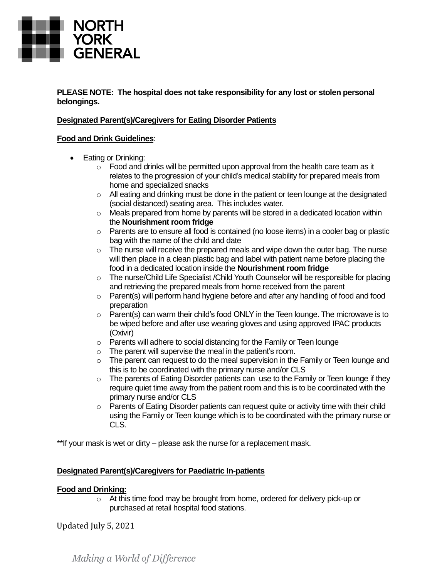

#### **PLEASE NOTE: The hospital does not take responsibility for any lost or stolen personal belongings.**

## **Designated Parent(s)/Caregivers for Eating Disorder Patients**

### **Food and Drink Guidelines**:

- Eating or Drinking:
	- $\circ$  Food and drinks will be permitted upon approval from the health care team as it relates to the progression of your child's medical stability for prepared meals from home and specialized snacks
	- o All eating and drinking must be done in the patient or teen lounge at the designated (social distanced) seating area. This includes water.
	- $\circ$  Meals prepared from home by parents will be stored in a dedicated location within the **Nourishment room fridge**
	- $\circ$  Parents are to ensure all food is contained (no loose items) in a cooler bag or plastic bag with the name of the child and date
	- $\circ$  The nurse will receive the prepared meals and wipe down the outer bag. The nurse will then place in a clean plastic bag and label with patient name before placing the food in a dedicated location inside the **Nourishment room fridge**
	- $\circ$  The nurse/Child Life Specialist /Child Youth Counselor will be responsible for placing and retrieving the prepared meals from home received from the parent
	- $\circ$  Parent(s) will perform hand hygiene before and after any handling of food and food preparation
	- $\circ$  Parent(s) can warm their child's food ONLY in the Teen lounge. The microwave is to be wiped before and after use wearing gloves and using approved IPAC products (Oxivir)
	- o Parents will adhere to social distancing for the Family or Teen lounge
	- $\circ$  The parent will supervise the meal in the patient's room.
	- o The parent can request to do the meal supervision in the Family or Teen lounge and this is to be coordinated with the primary nurse and/or CLS
	- o The parents of Eating Disorder patients can use to the Family or Teen lounge if they require quiet time away from the patient room and this is to be coordinated with the primary nurse and/or CLS
	- $\circ$  Parents of Eating Disorder patients can request quite or activity time with their child using the Family or Teen lounge which is to be coordinated with the primary nurse or CLS.

\*\*If your mask is wet or dirty – please ask the nurse for a replacement mask.

## **Designated Parent(s)/Caregivers for Paediatric In-patients**

## **Food and Drinking:**

o At this time food may be brought from home, ordered for delivery pick-up or purchased at retail hospital food stations.

Updated July 5, 2021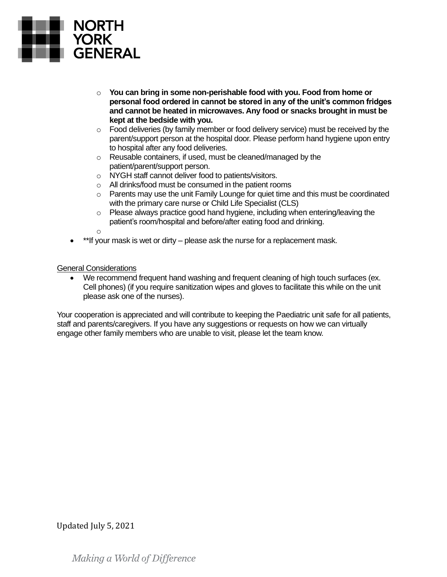

- o **You can bring in some non-perishable food with you. Food from home or personal food ordered in cannot be stored in any of the unit's common fridges and cannot be heated in microwaves. Any food or snacks brought in must be kept at the bedside with you.**
- $\circ$  Food deliveries (by family member or food delivery service) must be received by the parent/support person at the hospital door. Please perform hand hygiene upon entry to hospital after any food deliveries.
- o Reusable containers, if used, must be cleaned/managed by the patient/parent/support person.
- o NYGH staff cannot deliver food to patients/visitors.
- o All drinks/food must be consumed in the patient rooms
- $\circ$  Parents may use the unit Family Lounge for quiet time and this must be coordinated with the primary care nurse or Child Life Specialist (CLS)
- o Please always practice good hand hygiene, including when entering/leaving the patient's room/hospital and before/after eating food and drinking.
- o
- \*\*If your mask is wet or dirty please ask the nurse for a replacement mask.

General Considerations

We recommend frequent hand washing and frequent cleaning of high touch surfaces (ex. Cell phones) (if you require sanitization wipes and gloves to facilitate this while on the unit please ask one of the nurses).

Your cooperation is appreciated and will contribute to keeping the Paediatric unit safe for all patients, staff and parents/caregivers. If you have any suggestions or requests on how we can virtually engage other family members who are unable to visit, please let the team know.

## Updated July 5, 2021

Making a World of Difference